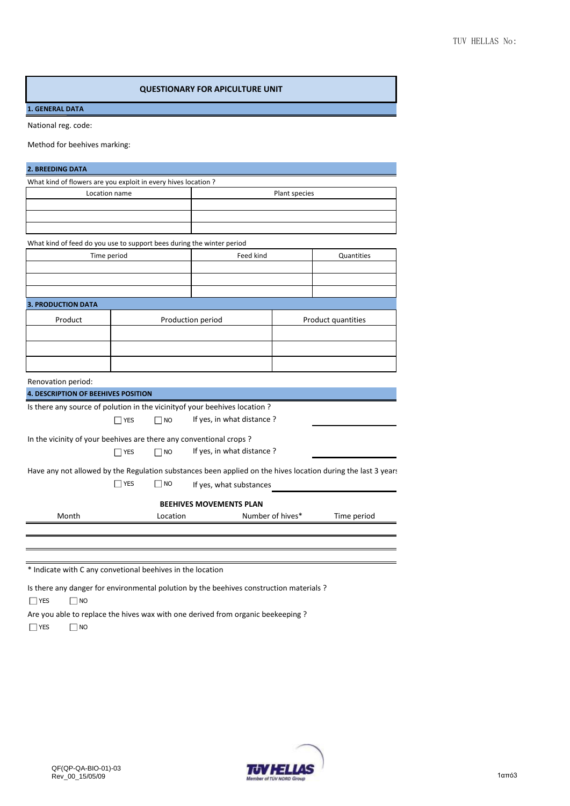## **QUESTIONARY FOR APICULTURE UNIT**

## **1. GENERAL DATA**

National reg. code:

Method for beehives marking:

| What kind of flowers are you exploit in every hives location ?        |               |      |                                                                                                 |               |                    |
|-----------------------------------------------------------------------|---------------|------|-------------------------------------------------------------------------------------------------|---------------|--------------------|
|                                                                       | Location name |      |                                                                                                 | Plant species |                    |
|                                                                       |               |      |                                                                                                 |               |                    |
|                                                                       |               |      |                                                                                                 |               |                    |
|                                                                       |               |      |                                                                                                 |               |                    |
| What kind of feed do you use to support bees during the winter period |               |      |                                                                                                 |               |                    |
|                                                                       | Time period   |      | Feed kind                                                                                       |               |                    |
|                                                                       |               |      |                                                                                                 |               |                    |
|                                                                       |               |      |                                                                                                 |               |                    |
|                                                                       |               |      |                                                                                                 |               |                    |
| <b>3. PRODUCTION DATA</b>                                             |               |      |                                                                                                 |               |                    |
| Product                                                               |               |      | Production period                                                                               |               | Product quantities |
|                                                                       |               |      |                                                                                                 |               |                    |
|                                                                       |               |      |                                                                                                 |               |                    |
|                                                                       |               |      |                                                                                                 |               |                    |
|                                                                       |               |      |                                                                                                 |               |                    |
| Renovation period:                                                    |               |      |                                                                                                 |               |                    |
| <b>4. DESCRIPTION OF BEEHIVES POSITION</b>                            |               |      |                                                                                                 |               |                    |
|                                                                       |               |      | Is there any source of polution in the vicinity of your beehives location ?                     |               |                    |
|                                                                       |               |      |                                                                                                 |               |                    |
|                                                                       | <b>YES</b>    | ∏ NO | If yes, in what distance?                                                                       |               |                    |
|                                                                       |               |      |                                                                                                 |               |                    |
|                                                                       |               |      | In the vicinity of your beehives are there any conventional crops?<br>If yes, in what distance? |               |                    |

Have any not allowed by the Regulation substances been applied on the hives location during the last 3 years If yes, what substances YES  $\Box$  NO

## **BEEHIVES MOVEMENTS PLAN**

Month **Location Location Number of hives\*** Time period

\* Indicate with C any convetional beehives in the location

Is there any danger for environmental polution by the beehives construction materials ?

NO **T** 

Are you able to replace the hives wax with one derived from organic beekeeping ?  $\Box$ NO  $\Box$  YES

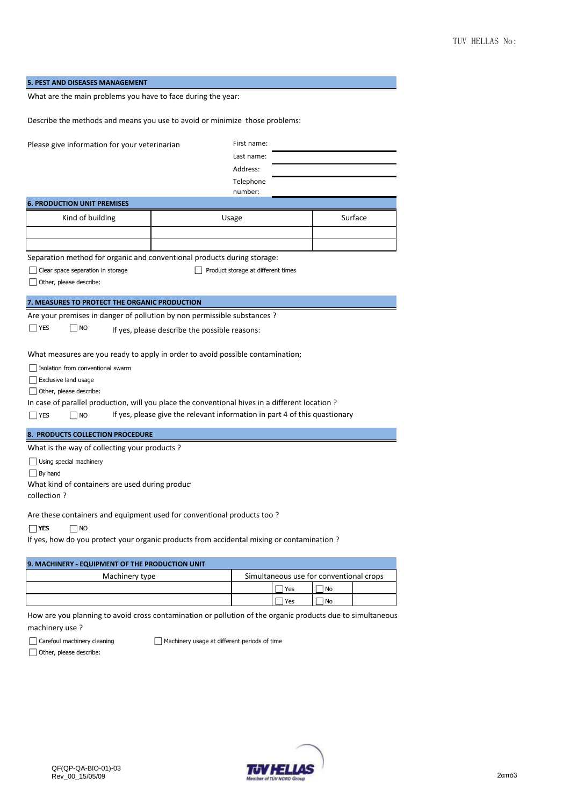| 5. PEST AND DISEASES MANAGEMENT                                                                |                                                                            |         |  |  |
|------------------------------------------------------------------------------------------------|----------------------------------------------------------------------------|---------|--|--|
| What are the main problems you have to face during the year:                                   |                                                                            |         |  |  |
| Describe the methods and means you use to avoid or minimize those problems:                    |                                                                            |         |  |  |
| Please give information for your veterinarian                                                  | First name:<br>Last name:<br>Address:<br>Telephone<br>number:              |         |  |  |
| <b>6. PRODUCTION UNIT PREMISES</b>                                                             |                                                                            |         |  |  |
| Kind of building                                                                               | Usage                                                                      | Surface |  |  |
|                                                                                                |                                                                            |         |  |  |
|                                                                                                |                                                                            |         |  |  |
| Separation method for organic and conventional products during storage:                        |                                                                            |         |  |  |
| Clear space separation in storage                                                              | Product storage at different times                                         |         |  |  |
| Other, please describe:                                                                        |                                                                            |         |  |  |
|                                                                                                |                                                                            |         |  |  |
| 7. MEASURES TO PROTECT THE ORGANIC PRODUCTION                                                  |                                                                            |         |  |  |
| Are your premises in danger of pollution by non permissible substances?                        |                                                                            |         |  |  |
| $\Box$ YES<br>  NO                                                                             | If yes, please describe the possible reasons:                              |         |  |  |
|                                                                                                |                                                                            |         |  |  |
| What measures are you ready to apply in order to avoid possible contamination;                 |                                                                            |         |  |  |
| Isolation from conventional swarm                                                              |                                                                            |         |  |  |
| Exclusive land usage                                                                           |                                                                            |         |  |  |
| Other, please describe:                                                                        |                                                                            |         |  |  |
| In case of parallel production, will you place the conventional hives in a different location? |                                                                            |         |  |  |
| $\Box$ YES<br>$\Box$ No                                                                        | If yes, please give the relevant information in part 4 of this quastionary |         |  |  |
| 8. PRODUCTS COLLECTION PROCEDURE                                                               |                                                                            |         |  |  |
| What is the way of collecting your products?                                                   |                                                                            |         |  |  |
| Using special machinery                                                                        |                                                                            |         |  |  |
| $\Box$ By hand                                                                                 |                                                                            |         |  |  |
| What kind of containers are used during product                                                |                                                                            |         |  |  |
| collection?                                                                                    |                                                                            |         |  |  |
|                                                                                                |                                                                            |         |  |  |
| Are these containers and equipment used for conventional products too?                         |                                                                            |         |  |  |
| <b>TYES</b><br>∃ NO                                                                            |                                                                            |         |  |  |
| If yes, how do you protect your organic products from accidental mixing or contamination?      |                                                                            |         |  |  |

| 9. MACHINERY - EQUIPMENT OF THE PRODUCTION UNIT |                                         |     |      |  |
|-------------------------------------------------|-----------------------------------------|-----|------|--|
| Machinery type                                  | Simultaneous use for conventional crops |     |      |  |
|                                                 |                                         | Yes | l No |  |
|                                                 |                                         | Yes | ' No |  |

How are you planning to avoid cross contamination or pollution of the organic products due to simultaneous machinery use ?

Carefoul machinery cleaning

Machinery usage at different periods of time

Other, please describe: